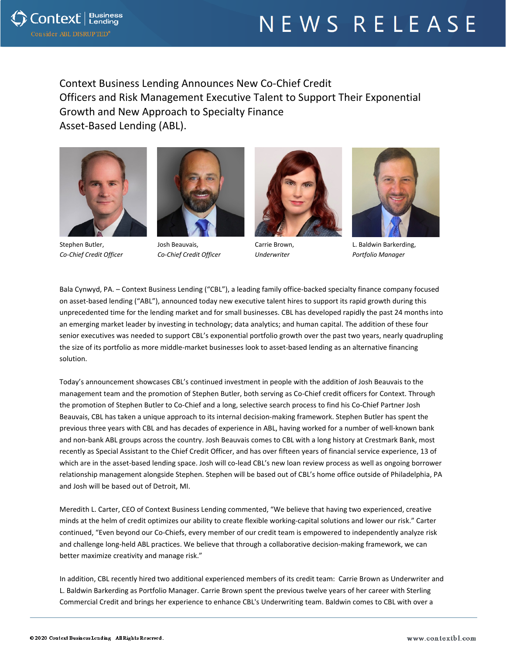## NEWS RELEASE



Context Business Lending Announces New Co-Chief Credit Officers and Risk Management Executive Talent to Support Their Exponential Growth and New Approach to Specialty Finance Asset-Based Lending (ABL).



Stephen Butler, *Co-Chief Credit Officer*



Josh Beauvais, *Co-Chief Credit Officer*



Carrie Brown, *Underwriter*



L. Baldwin Barkerding, *Portfolio Manager*

Bala Cynwyd, PA. – Context Business Lending ("CBL"), a leading family office-backed specialty finance company focused on asset-based lending ("ABL"), announced today new executive talent hires to support its rapid growth during this unprecedented time for the lending market and for small businesses. CBL has developed rapidly the past 24 months into an emerging market leader by investing in technology; data analytics; and human capital. The addition of these four senior executives was needed to support CBL's exponential portfolio growth over the past two years, nearly quadrupling the size of its portfolio as more middle-market businesses look to asset-based lending as an alternative financing solution.

Today's announcement showcases CBL's continued investment in people with the addition of Josh Beauvais to the management team and the promotion of Stephen Butler, both serving as Co-Chief credit officers for Context. Through the promotion of Stephen Butler to Co-Chief and a long, selective search process to find his Co-Chief Partner Josh Beauvais, CBL has taken a unique approach to its internal decision-making framework. Stephen Butler has spent the previous three years with CBL and has decades of experience in ABL, having worked for a number of well-known bank and non-bank ABL groups across the country. Josh Beauvais comes to CBL with a long history at Crestmark Bank, most recently as Special Assistant to the Chief Credit Officer, and has over fifteen years of financial service experience, 13 of which are in the asset-based lending space. Josh will co-lead CBL's new loan review process as well as ongoing borrower relationship management alongside Stephen. Stephen will be based out of CBL's home office outside of Philadelphia, PA and Josh will be based out of Detroit, MI.

Meredith L. Carter, CEO of Context Business Lending commented, "We believe that having two experienced, creative minds at the helm of credit optimizes our ability to create flexible working-capital solutions and lower our risk." Carter continued, "Even beyond our Co-Chiefs, every member of our credit team is empowered to independently analyze risk and challenge long-held ABL practices. We believe that through a collaborative decision-making framework, we can better maximize creativity and manage risk."

In addition, CBL recently hired two additional experienced members of its credit team: Carrie Brown as Underwriter and L. Baldwin Barkerding as Portfolio Manager. Carrie Brown spent the previous twelve years of her career with Sterling Commercial Credit and brings her experience to enhance CBL's Underwriting team. Baldwin comes to CBL with over a